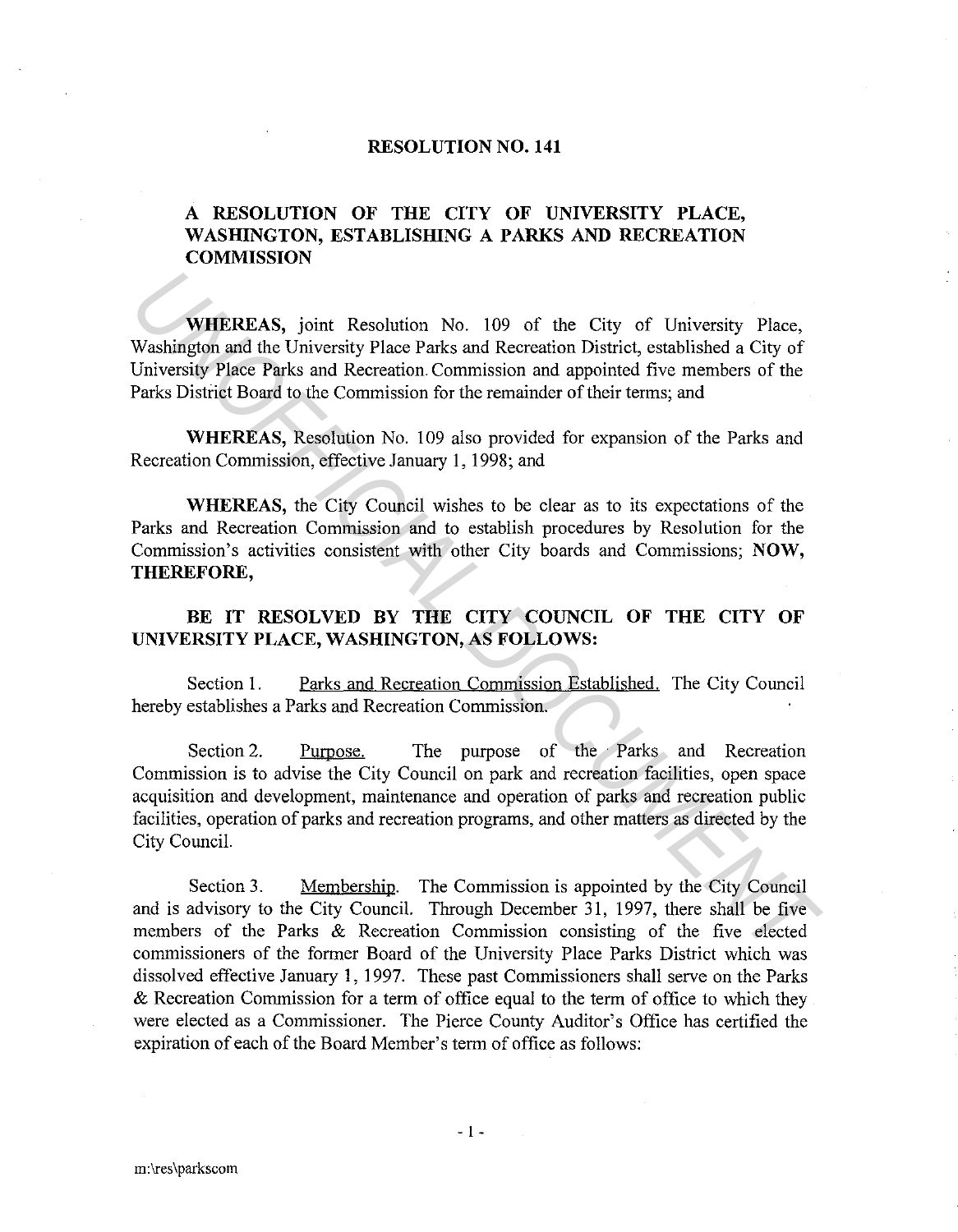## **RESOLUTION NO. 141**

## **A RESOLUTION OF THE CITY OF UNIVERSITY PLACE, WASHINGTON, ESTABLISHING A PARKS AND RECREATION COMMISSION**

**WHEREAS,** joint Resolution No. 109 of the City of University Place, Washington and the University Place Parks and Recreation District, established a City of University Place Parks and Recreation. Commission and appointed five members of the Parks District Board to the Commission for the remainder of their terms; and

**WHEREAS,** Resolution No. 109 also provided for expansion of the Parks and Recreation Commission, effective January 1, 1998; and

**WHEREAS,** the City Council wishes to be clear as to its expectations of the Parks and Recreation Commission and to establish procedures by Resolution for the Commission's activities consistent with other City boards and Commissions; **NOW, THEREFORE,** 

## BE IT RESOLVED BY THE CITY COUNCIL OF THE CITY OF **UNIVERSITY PLACE, WASHINGTON, AS FOLLOWS:**

Section 1. Parks and Recreation Commission Established. The City Council hereby establishes a Parks and Recreation Commission.

Section 2. Purpose. The purpose of the Parks and Recreation Commission is to advise the City Council on park and recreation facilities, open space acquisition and development, maintenance and operation of parks and recreation public facilities, operation of parks and recreation programs, and other matters as directed by the City Council. **WHEREAS,** joint Resolution No. 109 of the City of University Place,<br>
Washington and the University Place Parks and Recreation District, established a City of<br>
University Place Parks and Recreation Commission and appointed

Section 3. Membership. The Commission is appointed by the City Council and is advisory to the City Council. Through December 31, 1997, there shall be five members of the Parks & Recreation Commission consisting of the five elected commissioners of the former Board of the University Place Parks District which was dissolved effective January 1, 1997. These past Commissioners shall serve on the Parks & Recreation Commission for a term of office equal to the term of office to which they were elected as a Commissioner. The Pierce County Auditor's Office has certified the expiration of each of the Board Member's term of office as follows: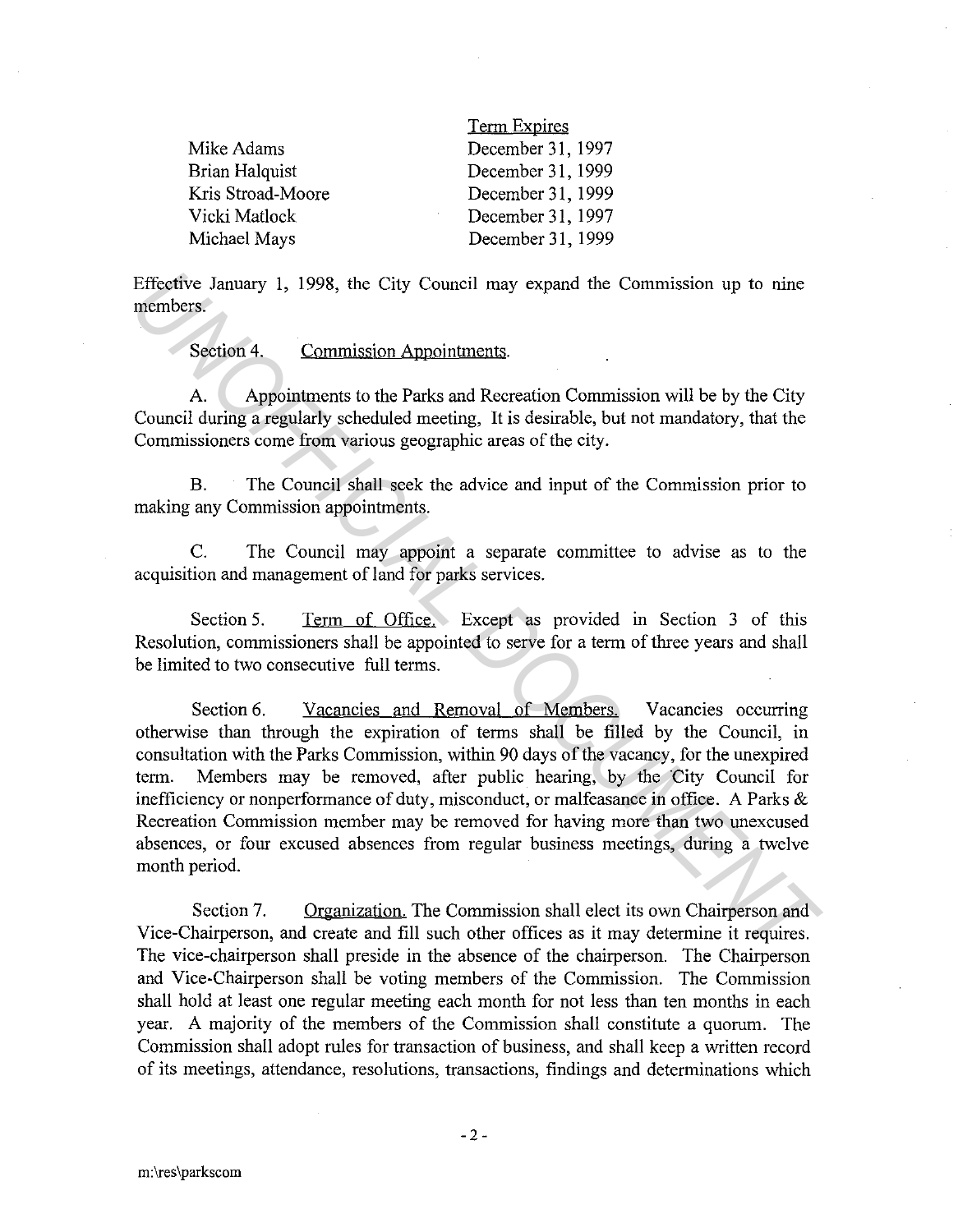|                       | <b>Term Expires</b> |
|-----------------------|---------------------|
| Mike Adams            | December 31, 1997   |
| <b>Brian Halquist</b> | December 31, 1999   |
| Kris Stroad-Moore     | December 31, 1999   |
| Vicki Matlock         | December 31, 1997   |
| Michael Mays          | December 31, 1999   |

Effective January l, 1998, the City Council may expand the Commission up to nine members.

Section 4. Commission Appointments.

A. Appointments to the Parks and Recreation Commission will be by the City Council during a regularly scheduled meeting, It is desirable, but not mandatory, that the Commissioners come from various geographic areas of the city.

B. The Council shall seek the advice and input of the Commission prior to making any Commission appointments.

C. The Council may appoint a separate committee to advise as to the acquisition and management of land for parks services.

Section 5. Term of Office. Except as provided in Section 3 of this Resolution, commissioners shall be appointed to serve for a term of three years and shall be limited to two consecutive full terms.

Section 6. Vacancies and Removal of Members. Vacancies occurring otherwise than through the expiration of terms shall be filled by the Council, in consultation with the Parks Commission, within 90 days of the vacancy, for the unexpired term. Members may be removed, after public hearing, by the City Council for inefficiency or nonperformance of duty, misconduct, or malfeasance in office. A Parks & Recreation Commission member may be removed for having more than two unexcused absences, or four excused absences from regular business meetings, during a twelve month period. Effective January 1, 1998, the City Council may expand the Commission up to nine<br>members.<br>Section 4. Commission Appointments.<br>A. Appointments to the Parks and Recreation Commission will be by the City<br>Council during a regu

Section 7. Organization. The Commission shall elect its own Chairperson and Vice-Chairperson, and create and fill such other offices as it may determine it requires. The vice-chairperson shall preside in the absence of the chairperson. The Chairperson and Vice-Chairperson shall be voting members of the Commission. The Commission shall hold at least one regular meeting each month for not less than ten months in each year. A majority of the members of the Commission shall constitute a quorum. The Commission shall adopt rules for transaction of business, and shall keep a written record of its meetings, attendance, resolutions, transactions, findings and determinations which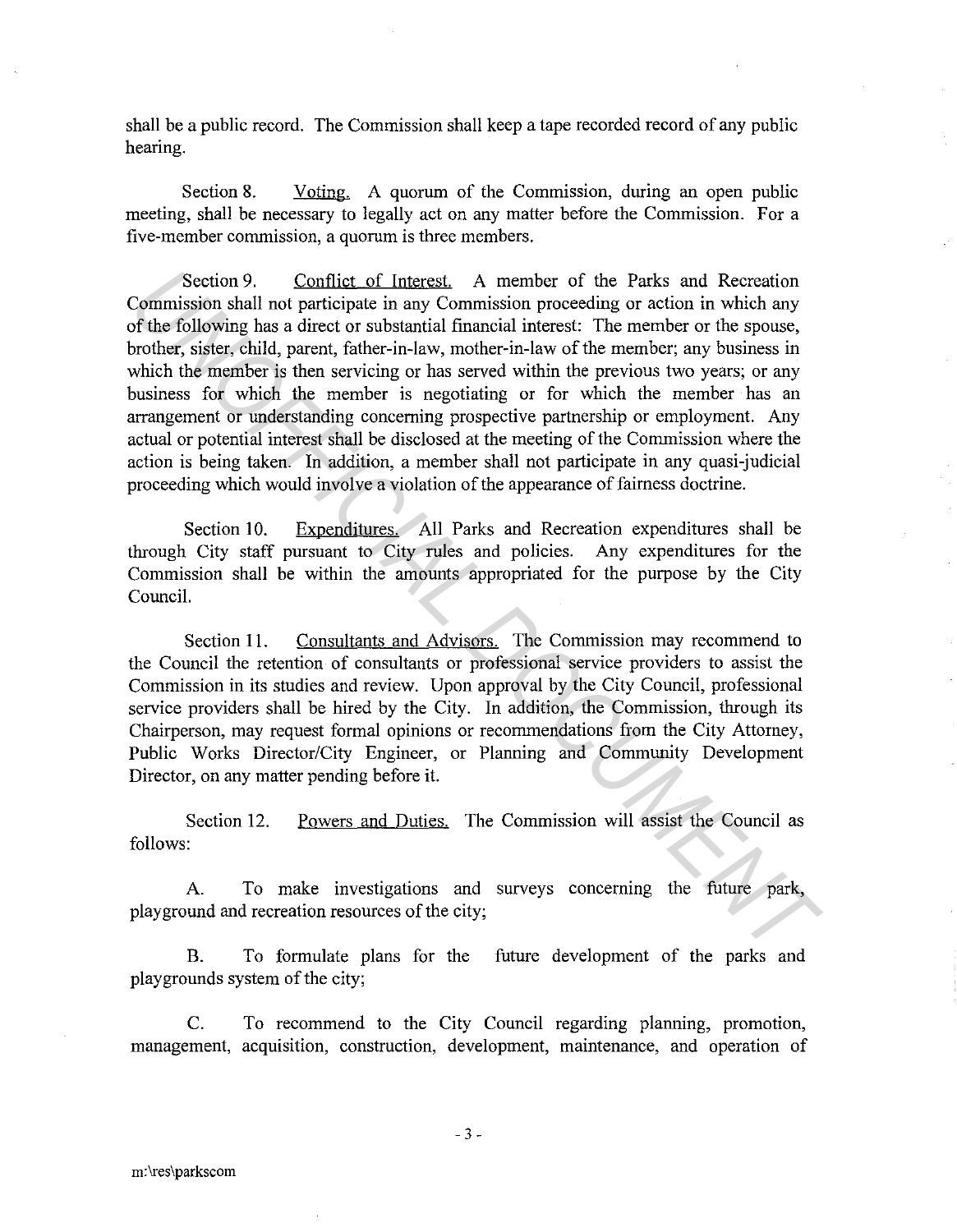shall be a public record. The Commission shall keep a tape recorded record of any public hearing.

Section 8. Voting. A quorum of the Commission, during an open public meeting, shall be necessary to legally act on any matter before the Commission. For a five-member commission, a quorum is three members.

Section 9. Conflict of Interest. A member of the Parks and Recreation Commission shall not participate in any Commission proceeding or action in which any of the following has a direct or substantial financial interest: The member or the spouse, brother, sister, child, parent, father-in-law, mother-in-law of the member; any business in which the member is then servicing or has served within the previous two years; or any business for which the member is negotiating or for which the member has an arrangement or understanding concerning prospective partnership or employment. Any actual or potential interest shall be disclosed at the meeting of the Commission where the action is being taken. In addition, a member shall not participate in any quasi-judicial proceeding which would involve a violation of the appearance of fairness doctrine. Section 9. Conflict of Interest, A member of the Parks and Recreation<br> **Commission shall not participate in any Commission proceeding or action in which any<br>
Commission shall not participate in any Commission proceeding or** 

Section 10. Expenditures. All Parks and Recreation expenditures shall be through City staff pursuant to City rules and policies. Any expenditures for the Commission shall be within the amounts appropriated for the purpose by the City Council.

Section 11. Consultants and Advisors. The Commission may recommend to the Council the retention of consultants or professional service providers to assist the Commission in its studies and review. Upon approval by the City Council, professional service providers shall be hired by the City. In addition, the Commission, through its Chairperson, may request formal opinions or recommendations from the City Attorney, Public Works Director/City Engineer, or Planning and Community Development Director, on any matter pending before it.

Section 12. Powers and Duties. The Commission will assist the Council as follows:

A. To make investigations and surveys concerning the future park, playground and recreation resources of the city;

B. To formulate plans for the future development of the parks and playgrounds system of the city;

C. To recommend to the City Council regarding planning, promotion, management, acquisition, construction, development, maintenance, and operation of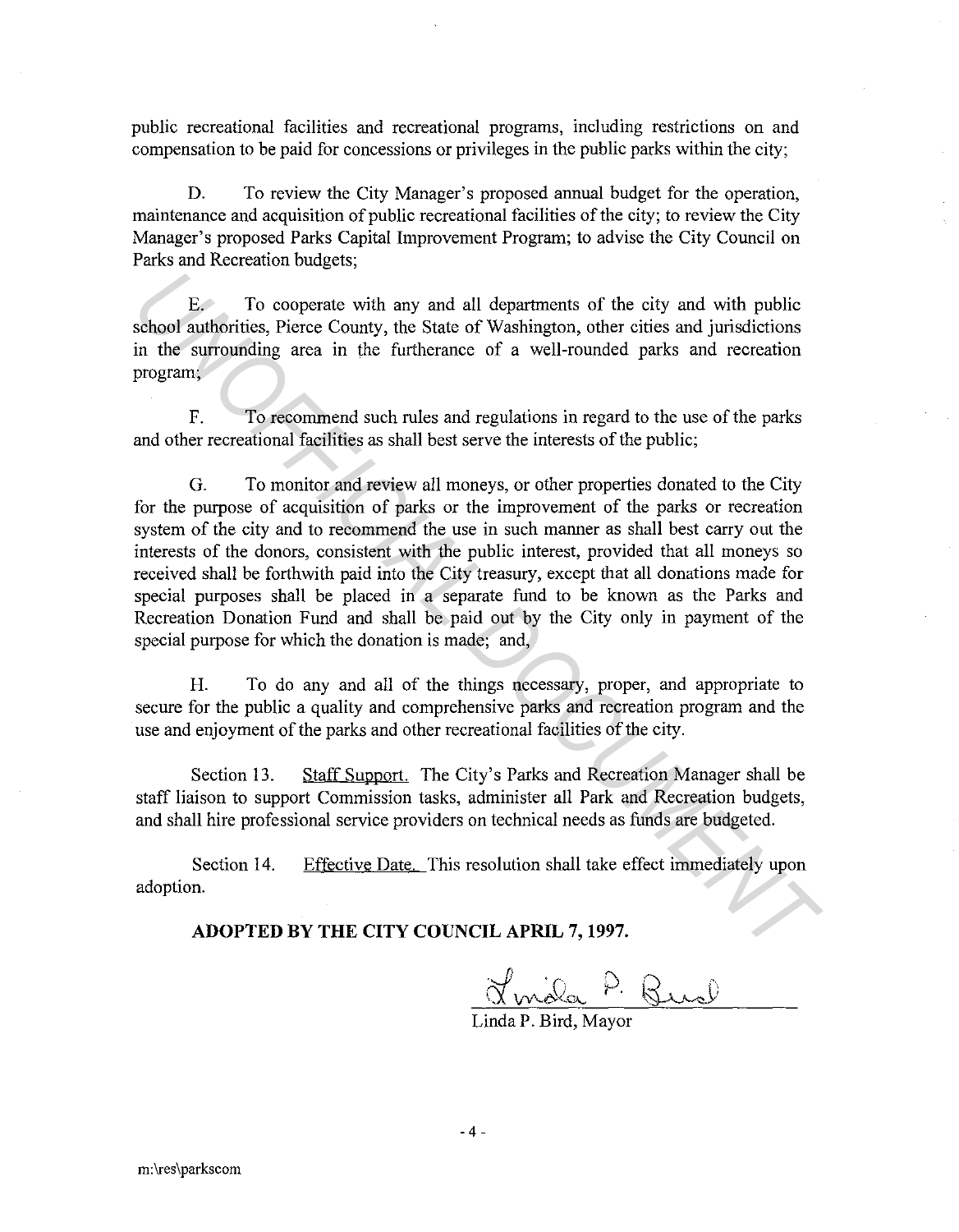public recreational facilities and recreational programs, including restrictions on and compensation to be paid for concessions or privileges in the public parks within the city;

D. To review the City Manager's proposed annual budget for the operation, maintenance and acquisition of public recreational facilities of the city; to review the City Manager's proposed Parks Capital Improvement Program; to advise the City Council on Parks and Recreation budgets;

E. To cooperate with any and all departments of the city and with public school authorities, Pierce County, the State of Washington, other cities and jurisdictions in the surrounding area in the furtherance of a well-rounded parks and recreation program;

F. To recommend such rules and regulations in regard to the use of the parks and other recreational facilities as shall best serve the interests of the public;

G. To monitor and review all moneys, or other properties donated to the City for the purpose of acquisition of parks or the improvement of the parks or recreation system of the city and to recommend the use in such manner as shall best carry out the interests of the donors, consistent with the public interest, provided that all moneys so received shall be forthwith paid into the City treasury, except that all donations made for special purposes shall be placed in a separate fund to be known as the Parks and Recreation Donation Fund and shall be paid out by the City only in payment of the special purpose for which the donation is made; and, E. To cooperate with any and all departments of the city and with public<br>school authorities, Pierce County, the State of Washington, other cities and jurisdictions<br>in the surrounding area in the furtherance of a well-round

H. To do any and all of the things necessary, proper, and appropriate to secure for the public a quality and comprehensive parks and recreation program and the use and enjoyment of the parks and other recreational facilities of the city.

Section 13. Staff Support. The City's Parks and Recreation Manager shall be staff liaison to support Commission tasks, administer all Park and Recreation budgets, and shall hire professional service providers on technical needs as funds are budgeted.

Section 14. Effective Date. This resolution shall take effect immediately upon adoption.

## **ADOPTED BY THE CITY COUNCIL APRIL 7, 1997.**

<u>Jonala</u> P. Burel